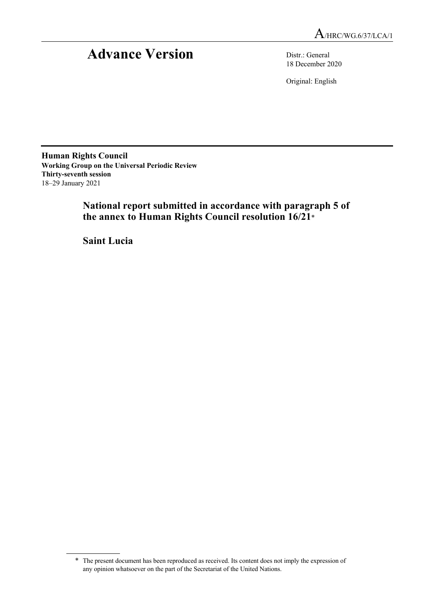# Advance Version Distr.: General

18 December 2020

Original: English

**Human Rights Council Working Group on the Universal Periodic Review Thirty-seventh session** 18–29 January 2021

> **National report submitted in accordance with paragraph 5 of the annex to Human Rights Council resolution 16/21**\*

**Saint Lucia**

<sup>\*</sup> The present document has been reproduced as received. Its content does not imply the expression of any opinion whatsoever on the part of the Secretariat of the United Nations.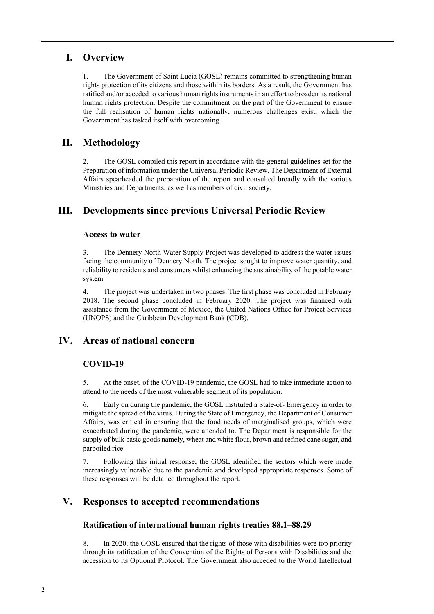# **I. Overview**

1. The Government of Saint Lucia (GOSL) remains committed to strengthening human rights protection of its citizens and those within its borders. As a result, the Government has ratified and/or acceded to various human rights instruments in an effort to broaden its national human rights protection. Despite the commitment on the part of the Government to ensure the full realisation of human rights nationally, numerous challenges exist, which the Government has tasked itself with overcoming.

# **II. Methodology**

2. The GOSL compiled this report in accordance with the general guidelines set for the Preparation of information under the Universal Periodic Review. The Department of External Affairs spearheaded the preparation of the report and consulted broadly with the various Ministries and Departments, as well as members of civil society.

# **III. Developments since previous Universal Periodic Review**

# **Access to water**

3. The Dennery North Water Supply Project was developed to address the water issues facing the community of Dennery North. The project sought to improve water quantity, and reliability to residents and consumers whilst enhancing the sustainability of the potable water system.

4. The project was undertaken in two phases. The first phase was concluded in February 2018. The second phase concluded in February 2020. The project was financed with assistance from the Government of Mexico, the United Nations Office for Project Services (UNOPS) and the Caribbean Development Bank (CDB).

# **IV. Areas of national concern**

# **COVID-19**

5. At the onset, of the COVID-19 pandemic, the GOSL had to take immediate action to attend to the needs of the most vulnerable segment of its population.

6. Early on during the pandemic, the GOSL instituted a State-of- Emergency in order to mitigate the spread of the virus. During the State of Emergency, the Department of Consumer Affairs, was critical in ensuring that the food needs of marginalised groups, which were exacerbated during the pandemic, were attended to. The Department is responsible for the supply of bulk basic goods namely, wheat and white flour, brown and refined cane sugar, and parboiled rice.

7. Following this initial response, the GOSL identified the sectors which were made increasingly vulnerable due to the pandemic and developed appropriate responses. Some of these responses will be detailed throughout the report.

# **V. Responses to accepted recommendations**

# **Ratification of international human rights treaties 88.1–88.29**

8. In 2020, the GOSL ensured that the rights of those with disabilities were top priority through its ratification of the Convention of the Rights of Persons with Disabilities and the accession to its Optional Protocol. The Government also acceded to the World Intellectual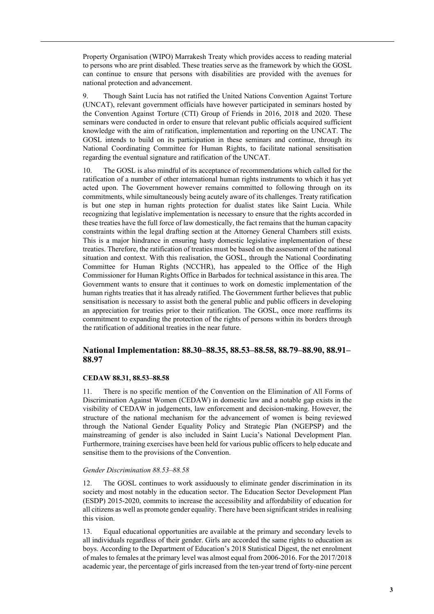Property Organisation (WIPO) Marrakesh Treaty which provides access to reading material to persons who are print disabled. These treaties serve as the framework by which the GOSL can continue to ensure that persons with disabilities are provided with the avenues for national protection and advancement.

9. Though Saint Lucia has not ratified the United Nations Convention Against Torture (UNCAT), relevant government officials have however participated in seminars hosted by the Convention Against Torture (CTI) Group of Friends in 2016, 2018 and 2020. These seminars were conducted in order to ensure that relevant public officials acquired sufficient knowledge with the aim of ratification, implementation and reporting on the UNCAT. The GOSL intends to build on its participation in these seminars and continue, through its National Coordinating Committee for Human Rights, to facilitate national sensitisation regarding the eventual signature and ratification of the UNCAT.

10. The GOSL is also mindful of its acceptance of recommendations which called for the ratification of a number of other international human rights instruments to which it has yet acted upon. The Government however remains committed to following through on its commitments, while simultaneously being acutely aware of its challenges. Treaty ratification is but one step in human rights protection for dualist states like Saint Lucia. While recognizing that legislative implementation is necessary to ensure that the rights accorded in these treaties have the full force of law domestically, the fact remains that the human capacity constraints within the legal drafting section at the Attorney General Chambers still exists. This is a major hindrance in ensuring hasty domestic legislative implementation of these treaties. Therefore, the ratification of treaties must be based on the assessment of the national situation and context. With this realisation, the GOSL, through the National Coordinating Committee for Human Rights (NCCHR), has appealed to the Office of the High Commissioner for Human Rights Office in Barbados for technical assistance in this area. The Government wants to ensure that it continues to work on domestic implementation of the human rights treaties that it has already ratified. The Government further believes that public sensitisation is necessary to assist both the general public and public officers in developing an appreciation for treaties prior to their ratification. The GOSL, once more reaffirms its commitment to expanding the protection of the rights of persons within its borders through the ratification of additional treaties in the near future.

## **National Implementation: 88.30–88.35, 88.53–88.58, 88.79–88.90, 88.91– 88.97**

#### **CEDAW 88.31, 88.53–88.58**

11. There is no specific mention of the Convention on the Elimination of All Forms of Discrimination Against Women (CEDAW) in domestic law and a notable gap exists in the visibility of CEDAW in judgements, law enforcement and decision-making. However, the structure of the national mechanism for the advancement of women is being reviewed through the National Gender Equality Policy and Strategic Plan (NGEPSP) and the mainstreaming of gender is also included in Saint Lucia's National Development Plan. Furthermore, training exercises have been held for various public officers to help educate and sensitise them to the provisions of the Convention.

#### *Gender Discrimination 88.53–88.58*

12. The GOSL continues to work assiduously to eliminate gender discrimination in its society and most notably in the education sector. The Education Sector Development Plan (ESDP) 2015-2020, commits to increase the accessibility and affordability of education for all citizens as well as promote gender equality. There have been significant strides in realising this vision.

13. Equal educational opportunities are available at the primary and secondary levels to all individuals regardless of their gender. Girls are accorded the same rights to education as boys. According to the Department of Education's 2018 Statistical Digest, the net enrolment of males to females at the primary level was almost equal from 2006-2016. For the 2017/2018 academic year, the percentage of girls increased from the ten-year trend of forty-nine percent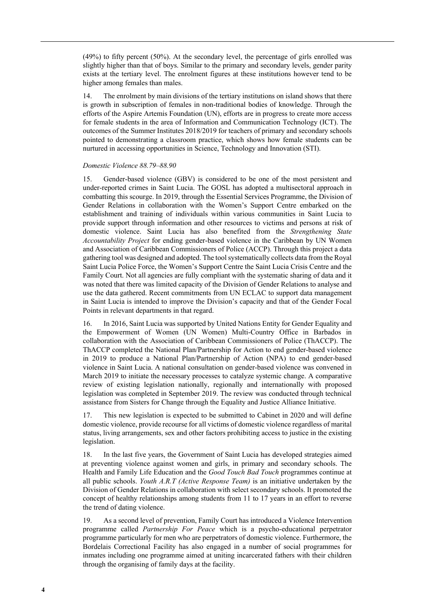(49%) to fifty percent (50%). At the secondary level, the percentage of girls enrolled was slightly higher than that of boys. Similar to the primary and secondary levels, gender parity exists at the tertiary level. The enrolment figures at these institutions however tend to be higher among females than males.

14. The enrolment by main divisions of the tertiary institutions on island shows that there is growth in subscription of females in non-traditional bodies of knowledge. Through the efforts of the Aspire Artemis Foundation (UN), efforts are in progress to create more access for female students in the area of Information and Communication Technology (ICT). The outcomes of the Summer Institutes 2018/2019 for teachers of primary and secondary schools pointed to demonstrating a classroom practice, which shows how female students can be nurtured in accessing opportunities in Science, Technology and Innovation (STI).

#### *Domestic Violence 88.79–88.90*

15. Gender-based violence (GBV) is considered to be one of the most persistent and under-reported crimes in Saint Lucia. The GOSL has adopted a multisectoral approach in combatting this scourge. In 2019, through the Essential Services Programme, the Division of Gender Relations in collaboration with the Women's Support Centre embarked on the establishment and training of individuals within various communities in Saint Lucia to provide support through information and other resources to victims and persons at risk of domestic violence. Saint Lucia has also benefited from the *Strengthening State Accountability Project* for ending gender-based violence in the Caribbean by UN Women and Association of Caribbean Commissioners of Police (ACCP). Through this project a data gathering tool was designed and adopted. The tool systematically collects data from the Royal Saint Lucia Police Force, the Women's Support Centre the Saint Lucia Crisis Centre and the Family Court. Not all agencies are fully compliant with the systematic sharing of data and it was noted that there was limited capacity of the Division of Gender Relations to analyse and use the data gathered. Recent commitments from UN ECLAC to support data management in Saint Lucia is intended to improve the Division's capacity and that of the Gender Focal Points in relevant departments in that regard.

16. In 2016, Saint Lucia was supported by United Nations Entity for Gender Equality and the Empowerment of Women (UN Women) Multi-Country Office in Barbados in collaboration with the Association of Caribbean Commissioners of Police (ThACCP). The ThACCP completed the National Plan/Partnership for Action to end gender-based violence in 2019 to produce a National Plan/Partnership of Action (NPA) to end gender-based violence in Saint Lucia. A national consultation on gender-based violence was convened in March 2019 to initiate the necessary processes to catalyze systemic change. A comparative review of existing legislation nationally, regionally and internationally with proposed legislation was completed in September 2019. The review was conducted through technical assistance from Sisters for Change through the Equality and Justice Alliance Initiative.

17. This new legislation is expected to be submitted to Cabinet in 2020 and will define domestic violence, provide recourse for all victims of domestic violence regardless of marital status, living arrangements, sex and other factors prohibiting access to justice in the existing legislation.

18. In the last five years, the Government of Saint Lucia has developed strategies aimed at preventing violence against women and girls, in primary and secondary schools. The Health and Family Life Education and the *Good Touch Bad Touch* programmes continue at all public schools. *Youth A.R.T (Active Response Team)* is an initiative undertaken by the Division of Gender Relations in collaboration with select secondary schools. It promoted the concept of healthy relationships among students from 11 to 17 years in an effort to reverse the trend of dating violence.

19. As a second level of prevention, Family Court has introduced a Violence Intervention programme called *Partnership For Peace* which is a psycho-educational perpetrator programme particularly for men who are perpetrators of domestic violence. Furthermore, the Bordelais Correctional Facility has also engaged in a number of social programmes for inmates including one programme aimed at uniting incarcerated fathers with their children through the organising of family days at the facility.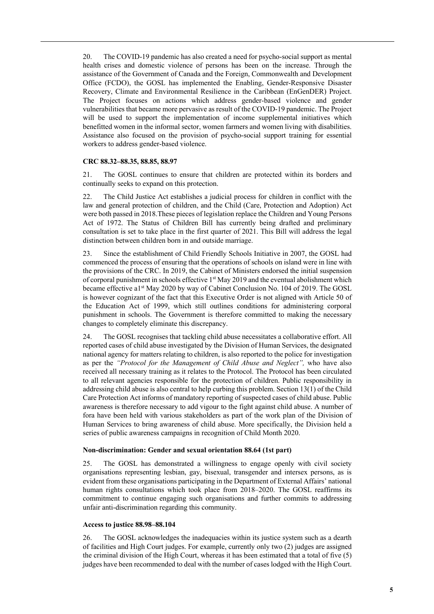20. The COVID-19 pandemic has also created a need for psycho-social support as mental health crises and domestic violence of persons has been on the increase. Through the assistance of the Government of Canada and the Foreign, Commonwealth and Development Office (FCDO), the GOSL has implemented the Enabling, Gender-Responsive Disaster Recovery, Climate and Environmental Resilience in the Caribbean (EnGenDER) Project. The Project focuses on actions which address gender-based violence and gender vulnerabilities that became more pervasive as result of the COVID-19 pandemic. The Project will be used to support the implementation of income supplemental initiatives which benefitted women in the informal sector, women farmers and women living with disabilities. Assistance also focused on the provision of psycho-social support training for essential workers to address gender-based violence.

#### **CRC 88.32–88.35, 88.85, 88.97**

21. The GOSL continues to ensure that children are protected within its borders and continually seeks to expand on this protection.

22. The Child Justice Act establishes a judicial process for children in conflict with the law and general protection of children, and the Child (Care, Protection and Adoption) Act were both passed in 2018.These pieces of legislation replace the Children and Young Persons Act of 1972. The Status of Children Bill has currently being drafted and preliminary consultation is set to take place in the first quarter of 2021. This Bill will address the legal distinction between children born in and outside marriage.

23. Since the establishment of Child Friendly Schools Initiative in 2007, the GOSL had commenced the process of ensuring that the operations of schools on island were in line with the provisions of the CRC. In 2019, the Cabinet of Ministers endorsed the initial suspension of corporal punishment in schools effective 1<sup>st</sup> May 2019 and the eventual abolishment which became effective a1<sup>st</sup> May 2020 by way of Cabinet Conclusion No. 104 of 2019. The GOSL is however cognizant of the fact that this Executive Order is not aligned with Article 50 of the Education Act of 1999, which still outlines conditions for administering corporal punishment in schools. The Government is therefore committed to making the necessary changes to completely eliminate this discrepancy.

24. The GOSL recognises that tackling child abuse necessitates a collaborative effort. All reported cases of child abuse investigated by the Division of Human Services, the designated national agency for matters relating to children, is also reported to the police for investigation as per the *"Protocol for the Management of Child Abuse and Neglect",* who have also received all necessary training as it relates to the Protocol. The Protocol has been circulated to all relevant agencies responsible for the protection of children. Public responsibility in addressing child abuse is also central to help curbing this problem. Section 13(1) of the Child Care Protection Act informs of mandatory reporting of suspected cases of child abuse. Public awareness is therefore necessary to add vigour to the fight against child abuse. A number of fora have been held with various stakeholders as part of the work plan of the Division of Human Services to bring awareness of child abuse. More specifically, the Division held a series of public awareness campaigns in recognition of Child Month 2020.

### **Non-discrimination: Gender and sexual orientation 88.64 (1st part)**

25. The GOSL has demonstrated a willingness to engage openly with civil society organisations representing lesbian, gay, bisexual, transgender and intersex persons, as is evident from these organisations participating in the Department of External Affairs' national human rights consultations which took place from 2018–2020. The GOSL reaffirms its commitment to continue engaging such organisations and further commits to addressing unfair anti-discrimination regarding this community.

#### **Access to justice 88.98–88.104**

26. The GOSL acknowledges the inadequacies within its justice system such as a dearth of facilities and High Court judges. For example, currently only two (2) judges are assigned the criminal division of the High Court, whereas it has been estimated that a total of five (5) judges have been recommended to deal with the number of cases lodged with the High Court.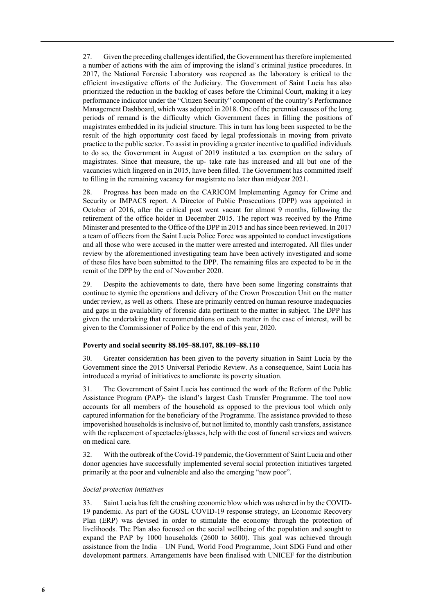27. Given the preceding challenges identified, the Government has therefore implemented a number of actions with the aim of improving the island's criminal justice procedures. In 2017, the National Forensic Laboratory was reopened as the laboratory is critical to the efficient investigative efforts of the Judiciary. The Government of Saint Lucia has also prioritized the reduction in the backlog of cases before the Criminal Court, making it a key performance indicator under the "Citizen Security" component of the country's Performance Management Dashboard, which was adopted in 2018. One of the perennial causes of the long periods of remand is the difficulty which Government faces in filling the positions of magistrates embedded in its judicial structure. This in turn has long been suspected to be the result of the high opportunity cost faced by legal professionals in moving from private practice to the public sector. To assist in providing a greater incentive to qualified individuals to do so, the Government in August of 2019 instituted a tax exemption on the salary of magistrates. Since that measure, the up- take rate has increased and all but one of the vacancies which lingered on in 2015, have been filled. The Government has committed itself to filling in the remaining vacancy for magistrate no later than midyear 2021.

28. Progress has been made on the CARICOM Implementing Agency for Crime and Security or IMPACS report. A Director of Public Prosecutions (DPP) was appointed in October of 2016, after the critical post went vacant for almost 9 months, following the retirement of the office holder in December 2015. The report was received by the Prime Minister and presented to the Office of the DPP in 2015 and has since been reviewed. In 2017 a team of officers from the Saint Lucia Police Force was appointed to conduct investigations and all those who were accused in the matter were arrested and interrogated. All files under review by the aforementioned investigating team have been actively investigated and some of these files have been submitted to the DPP. The remaining files are expected to be in the remit of the DPP by the end of November 2020.

29. Despite the achievements to date, there have been some lingering constraints that continue to stymie the operations and delivery of the Crown Prosecution Unit on the matter under review, as well as others. These are primarily centred on human resource inadequacies and gaps in the availability of forensic data pertinent to the matter in subject. The DPP has given the undertaking that recommendations on each matter in the case of interest, will be given to the Commissioner of Police by the end of this year, 2020.

#### **Poverty and social security 88.105–88.107, 88.109–88.110**

30. Greater consideration has been given to the poverty situation in Saint Lucia by the Government since the 2015 Universal Periodic Review. As a consequence, Saint Lucia has introduced a myriad of initiatives to ameliorate its poverty situation.

31. The Government of Saint Lucia has continued the work of the Reform of the Public Assistance Program (PAP)- the island's largest Cash Transfer Programme. The tool now accounts for all members of the household as opposed to the previous tool which only captured information for the beneficiary of the Programme. The assistance provided to these impoverished households is inclusive of, but not limited to, monthly cash transfers, assistance with the replacement of spectacles/glasses, help with the cost of funeral services and waivers on medical care.

32. With the outbreak of the Covid-19 pandemic, the Government of Saint Lucia and other donor agencies have successfully implemented several social protection initiatives targeted primarily at the poor and vulnerable and also the emerging "new poor".

#### *Social protection initiatives*

33. Saint Lucia has felt the crushing economic blow which was ushered in by the COVID-19 pandemic. As part of the GOSL COVID-19 response strategy, an Economic Recovery Plan (ERP) was devised in order to stimulate the economy through the protection of livelihoods. The Plan also focused on the social wellbeing of the population and sought to expand the PAP by 1000 households (2600 to 3600). This goal was achieved through assistance from the India – UN Fund, World Food Programme, Joint SDG Fund and other development partners. Arrangements have been finalised with UNICEF for the distribution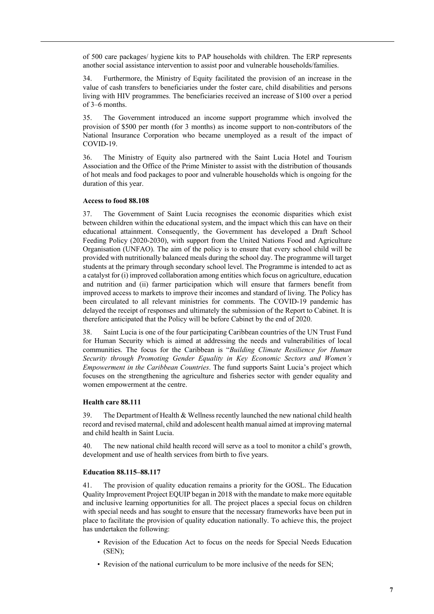of 500 care packages/ hygiene kits to PAP households with children. The ERP represents another social assistance intervention to assist poor and vulnerable households/families.

34. Furthermore, the Ministry of Equity facilitated the provision of an increase in the value of cash transfers to beneficiaries under the foster care, child disabilities and persons living with HIV programmes. The beneficiaries received an increase of \$100 over a period of 3–6 months.

35. The Government introduced an income support programme which involved the provision of \$500 per month (for 3 months) as income support to non-contributors of the National Insurance Corporation who became unemployed as a result of the impact of COVID-19.

36. The Ministry of Equity also partnered with the Saint Lucia Hotel and Tourism Association and the Office of the Prime Minister to assist with the distribution of thousands of hot meals and food packages to poor and vulnerable households which is ongoing for the duration of this year.

#### **Access to food 88.108**

37. The Government of Saint Lucia recognises the economic disparities which exist between children within the educational system, and the impact which this can have on their educational attainment. Consequently, the Government has developed a Draft School Feeding Policy (2020-2030), with support from the United Nations Food and Agriculture Organisation (UNFAO). The aim of the policy is to ensure that every school child will be provided with nutritionally balanced meals during the school day. The programme will target students at the primary through secondary school level. The Programme is intended to act as a catalyst for (i) improved collaboration among entities which focus on agriculture, education and nutrition and (ii) farmer participation which will ensure that farmers benefit from improved access to markets to improve their incomes and standard of living. The Policy has been circulated to all relevant ministries for comments. The COVID-19 pandemic has delayed the receipt of responses and ultimately the submission of the Report to Cabinet. It is therefore anticipated that the Policy will be before Cabinet by the end of 2020.

38. Saint Lucia is one of the four participating Caribbean countries of the UN Trust Fund for Human Security which is aimed at addressing the needs and vulnerabilities of local communities. The focus for the Caribbean is "*Building Climate Resilience for Human Security through Promoting Gender Equality in Key Economic Sectors and Women's Empowerment in the Caribbean Countries*. The fund supports Saint Lucia's project which focuses on the strengthening the agriculture and fisheries sector with gender equality and women empowerment at the centre.

#### **Health care 88.111**

39. The Department of Health & Wellness recently launched the new national child health record and revised maternal, child and adolescent health manual aimed at improving maternal and child health in Saint Lucia.

40. The new national child health record will serve as a tool to monitor a child's growth, development and use of health services from birth to five years.

#### **Education 88.115–88.117**

41. The provision of quality education remains a priority for the GOSL. The Education Quality Improvement Project EQUIP began in 2018 with the mandate to make more equitable and inclusive learning opportunities for all. The project places a special focus on children with special needs and has sought to ensure that the necessary frameworks have been put in place to facilitate the provision of quality education nationally. To achieve this, the project has undertaken the following:

- Revision of the Education Act to focus on the needs for Special Needs Education (SEN);
- Revision of the national curriculum to be more inclusive of the needs for SEN;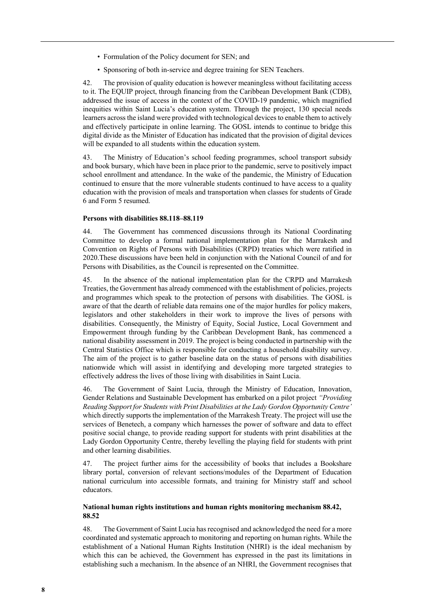- Formulation of the Policy document for SEN; and
- Sponsoring of both in-service and degree training for SEN Teachers.

42. The provision of quality education is however meaningless without facilitating access to it. The EQUIP project, through financing from the Caribbean Development Bank (CDB), addressed the issue of access in the context of the COVID-19 pandemic, which magnified inequities within Saint Lucia's education system. Through the project, 130 special needs learners across the island were provided with technological devices to enable them to actively and effectively participate in online learning. The GOSL intends to continue to bridge this digital divide as the Minister of Education has indicated that the provision of digital devices will be expanded to all students within the education system.

43. The Ministry of Education's school feeding programmes, school transport subsidy and book bursary, which have been in place prior to the pandemic, serve to positively impact school enrollment and attendance. In the wake of the pandemic, the Ministry of Education continued to ensure that the more vulnerable students continued to have access to a quality education with the provision of meals and transportation when classes for students of Grade 6 and Form 5 resumed.

#### **Persons with disabilities 88.118–88.119**

44. The Government has commenced discussions through its National Coordinating Committee to develop a formal national implementation plan for the Marrakesh and Convention on Rights of Persons with Disabilities (CRPD) treaties which were ratified in 2020.These discussions have been held in conjunction with the National Council of and for Persons with Disabilities, as the Council is represented on the Committee.

45. In the absence of the national implementation plan for the CRPD and Marrakesh Treaties, the Government has already commenced with the establishment of policies, projects and programmes which speak to the protection of persons with disabilities. The GOSL is aware of that the dearth of reliable data remains one of the major hurdles for policy makers, legislators and other stakeholders in their work to improve the lives of persons with disabilities. Consequently, the Ministry of Equity, Social Justice, Local Government and Empowerment through funding by the Caribbean Development Bank, has commenced a national disability assessment in 2019. The project is being conducted in partnership with the Central Statistics Office which is responsible for conducting a household disability survey. The aim of the project is to gather baseline data on the status of persons with disabilities nationwide which will assist in identifying and developing more targeted strategies to effectively address the lives of those living with disabilities in Saint Lucia.

46. The Government of Saint Lucia, through the Ministry of Education, Innovation, Gender Relations and Sustainable Development has embarked on a pilot project *"Providing Reading Support for Students with Print Disabilities at the Lady Gordon Opportunity Centre'*  which directly supports the implementation of the Marrakesh Treaty. The project will use the services of Benetech, a company which harnesses the power of software and data to effect positive social change, to provide reading support for students with print disabilities at the Lady Gordon Opportunity Centre, thereby levelling the playing field for students with print and other learning disabilities.

47. The project further aims for the accessibility of books that includes a Bookshare library portal, conversion of relevant sections/modules of the Department of Education national curriculum into accessible formats, and training for Ministry staff and school educators.

### **National human rights institutions and human rights monitoring mechanism 88.42, 88.52**

48. The Government of Saint Lucia has recognised and acknowledged the need for a more coordinated and systematic approach to monitoring and reporting on human rights. While the establishment of a National Human Rights Institution (NHRI) is the ideal mechanism by which this can be achieved, the Government has expressed in the past its limitations in establishing such a mechanism. In the absence of an NHRI, the Government recognises that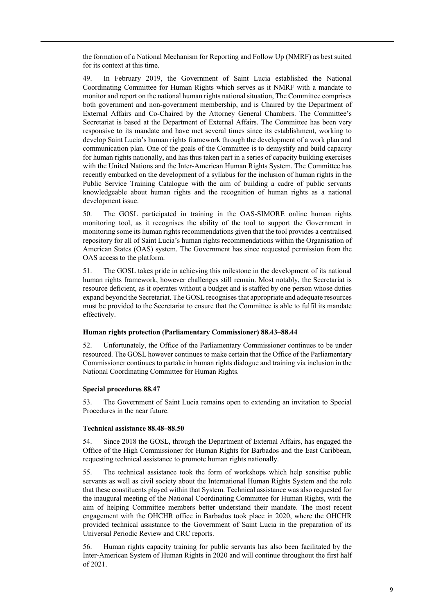the formation of a National Mechanism for Reporting and Follow Up (NMRF) as best suited for its context at this time.

49. In February 2019, the Government of Saint Lucia established the National Coordinating Committee for Human Rights which serves as it NMRF with a mandate to monitor and report on the national human rights national situation, The Committee comprises both government and non-government membership, and is Chaired by the Department of External Affairs and Co-Chaired by the Attorney General Chambers. The Committee's Secretariat is based at the Department of External Affairs. The Committee has been very responsive to its mandate and have met several times since its establishment, working to develop Saint Lucia's human rights framework through the development of a work plan and communication plan. One of the goals of the Committee is to demystify and build capacity for human rights nationally, and has thus taken part in a series of capacity building exercises with the United Nations and the Inter-American Human Rights System. The Committee has recently embarked on the development of a syllabus for the inclusion of human rights in the Public Service Training Catalogue with the aim of building a cadre of public servants knowledgeable about human rights and the recognition of human rights as a national development issue.

50. The GOSL participated in training in the OAS-SIMORE online human rights monitoring tool, as it recognises the ability of the tool to support the Government in monitoring some its human rights recommendations given that the tool provides a centralised repository for all of Saint Lucia's human rights recommendations within the Organisation of American States (OAS) system. The Government has since requested permission from the OAS access to the platform.

51. The GOSL takes pride in achieving this milestone in the development of its national human rights framework, however challenges still remain. Most notably, the Secretariat is resource deficient, as it operates without a budget and is staffed by one person whose duties expand beyond the Secretariat. The GOSL recognises that appropriate and adequate resources must be provided to the Secretariat to ensure that the Committee is able to fulfil its mandate effectively.

### **Human rights protection (Parliamentary Commissioner) 88.43–88.44**

52. Unfortunately, the Office of the Parliamentary Commissioner continues to be under resourced. The GOSL however continues to make certain that the Office of the Parliamentary Commissioner continues to partake in human rights dialogue and training via inclusion in the National Coordinating Committee for Human Rights.

#### **Special procedures 88.47**

53. The Government of Saint Lucia remains open to extending an invitation to Special Procedures in the near future.

#### **Technical assistance 88.48–88.50**

54. Since 2018 the GOSL, through the Department of External Affairs, has engaged the Office of the High Commissioner for Human Rights for Barbados and the East Caribbean, requesting technical assistance to promote human rights nationally.

55. The technical assistance took the form of workshops which help sensitise public servants as well as civil society about the International Human Rights System and the role that these constituents played within that System. Technical assistance was also requested for the inaugural meeting of the National Coordinating Committee for Human Rights, with the aim of helping Committee members better understand their mandate. The most recent engagement with the OHCHR office in Barbados took place in 2020, where the OHCHR provided technical assistance to the Government of Saint Lucia in the preparation of its Universal Periodic Review and CRC reports.

56. Human rights capacity training for public servants has also been facilitated by the Inter-American System of Human Rights in 2020 and will continue throughout the first half of 2021.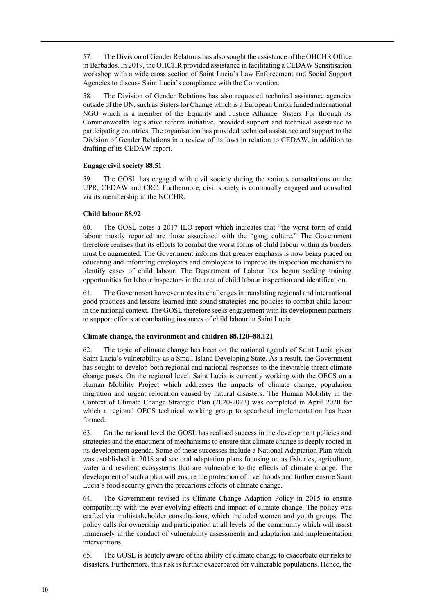57. The Division of Gender Relations has also sought the assistance of the OHCHR Office in Barbados. In 2019, the OHCHR provided assistance in facilitating a CEDAW Sensitisation workshop with a wide cross section of Saint Lucia's Law Enforcement and Social Support Agencies to discuss Saint Lucia's compliance with the Convention.

58. The Division of Gender Relations has also requested technical assistance agencies outside of the UN, such as Sisters for Change which is a European Union funded international NGO which is a member of the Equality and Justice Alliance. Sisters For through its Commonwealth legislative reform initiative, provided support and technical assistance to participating countries. The organisation has provided technical assistance and support to the Division of Gender Relations in a review of its laws in relation to CEDAW, in addition to drafting of its CEDAW report.

### **Engage civil society 88.51**

59. The GOSL has engaged with civil society during the various consultations on the UPR, CEDAW and CRC. Furthermore, civil society is continually engaged and consulted via its membership in the NCCHR.

### **Child labour 88.92**

60. The GOSL notes a 2017 ILO report which indicates that "the worst form of child labour mostly reported are those associated with the "gang culture." The Government therefore realises that its efforts to combat the worst forms of child labour within its borders must be augmented. The Government informs that greater emphasis is now being placed on educating and informing employers and employees to improve its inspection mechanism to identify cases of child labour. The Department of Labour has begun seeking training opportunities for labour inspectors in the area of child labour inspection and identification.

61. The Government however notes its challenges in translating regional and international good practices and lessons learned into sound strategies and policies to combat child labour in the national context. The GOSL therefore seeks engagement with its development partners to support efforts at combatting instances of child labour in Saint Lucia.

## **Climate change, the environment and children 88.120–88.121**

62. The topic of climate change has been on the national agenda of Saint Lucia given Saint Lucia's vulnerability as a Small Island Developing State. As a result, the Government has sought to develop both regional and national responses to the inevitable threat climate change poses. On the regional level, Saint Lucia is currently working with the OECS on a Human Mobility Project which addresses the impacts of climate change, population migration and urgent relocation caused by natural disasters. The Human Mobility in the Context of Climate Change Strategic Plan (2020-2023) was completed in April 2020 for which a regional OECS technical working group to spearhead implementation has been formed.

63. On the national level the GOSL has realised success in the development policies and strategies and the enactment of mechanisms to ensure that climate change is deeply rooted in its development agenda. Some of these successes include a National Adaptation Plan which was established in 2018 and sectoral adaptation plans focusing on as fisheries, agriculture, water and resilient ecosystems that are vulnerable to the effects of climate change. The development of such a plan will ensure the protection of livelihoods and further ensure Saint Lucia's food security given the precarious effects of climate change.

64. The Government revised its Climate Change Adaption Policy in 2015 to ensure compatibility with the ever evolving effects and impact of climate change. The policy was crafted via multistakeholder consultations, which included women and youth groups. The policy calls for ownership and participation at all levels of the community which will assist immensely in the conduct of vulnerability assessments and adaptation and implementation interventions.

65. The GOSL is acutely aware of the ability of climate change to exacerbate our risks to disasters. Furthermore, this risk is further exacerbated for vulnerable populations. Hence, the